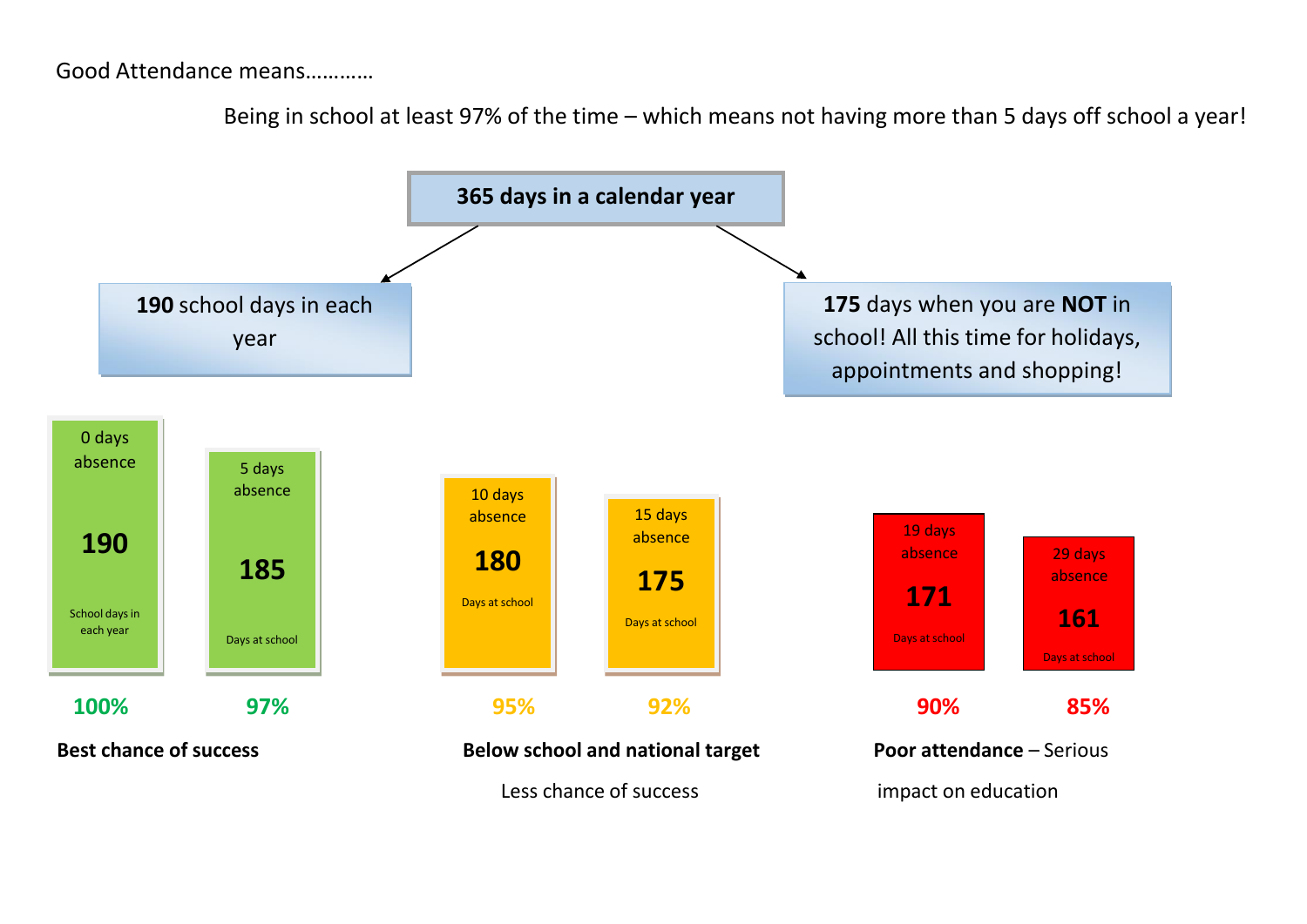## Good Attendance means…………

Being in school at least 97% of the time – which means not having more than 5 days off school a year!